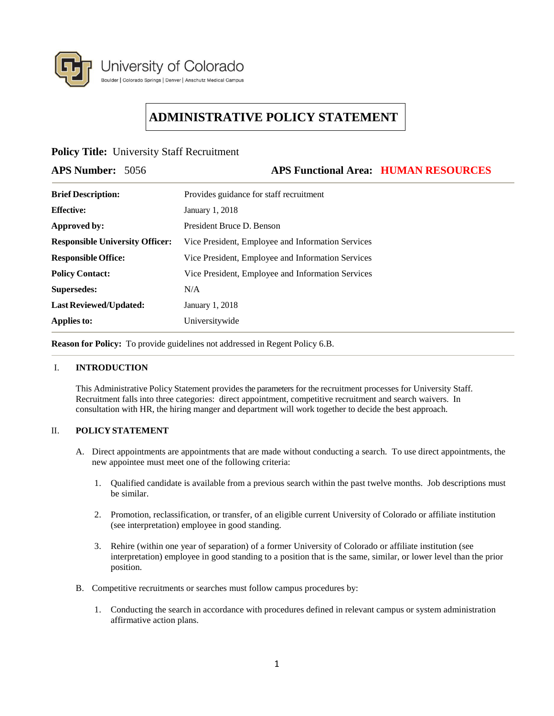

# **ADMINISTRATIVE POLICY STATEMENT**

# **Policy Title:** University Staff Recruitment

## **APS Number:** 5056 **APS Functional Area: HUMAN RESOURCES**

| <b>Brief Description:</b>              | Provides guidance for staff recruitment           |
|----------------------------------------|---------------------------------------------------|
| <b>Effective:</b>                      | January 1, 2018                                   |
| Approved by:                           | President Bruce D. Benson                         |
| <b>Responsible University Officer:</b> | Vice President, Employee and Information Services |
| <b>Responsible Office:</b>             | Vice President, Employee and Information Services |
| <b>Policy Contact:</b>                 | Vice President, Employee and Information Services |
| Supersedes:                            | N/A                                               |
| <b>Last Reviewed/Updated:</b>          | January 1, 2018                                   |
| Applies to:                            | Universitywide                                    |

**Reason for Policy:** To provide guidelines not addressed in Regent Policy 6.B.

#### I. **INTRODUCTION**

This Administrative Policy Statement provides the parameters for the recruitment processes for University Staff. Recruitment falls into three categories: direct appointment, competitive recruitment and search waivers. In consultation with HR, the hiring manger and department will work together to decide the best approach.

#### II. **POLICY STATEMENT**

- A. Direct appointments are appointments that are made without conducting a search. To use direct appointments, the new appointee must meet one of the following criteria:
	- 1. Qualified candidate is available from a previous search within the past twelve months. Job descriptions must be similar.
	- 2. Promotion, reclassification, or transfer, of an eligible current University of Colorado or affiliate institution (see interpretation) employee in good standing.
	- 3. Rehire (within one year of separation) of a former University of Colorado or affiliate institution (see interpretation) employee in good standing to a position that is the same, similar, or lower level than the prior position.
- B. Competitive recruitments or searches must follow campus procedures by:
	- 1. Conducting the search in accordance with procedures defined in relevant campus or system administration affirmative action plans.